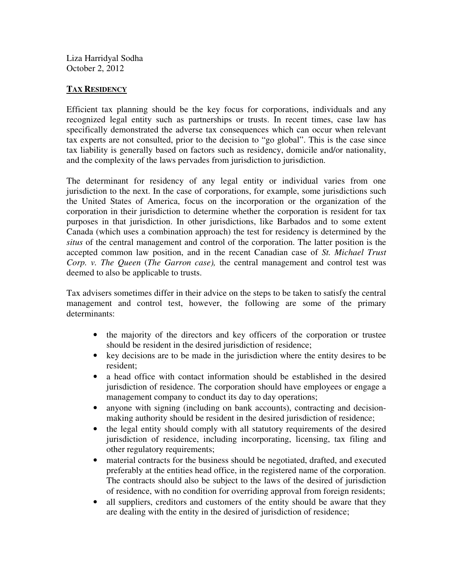Liza Harridyal Sodha October 2, 2012

## **TAX RESIDENCY**

Efficient tax planning should be the key focus for corporations, individuals and any recognized legal entity such as partnerships or trusts. In recent times, case law has specifically demonstrated the adverse tax consequences which can occur when relevant tax experts are not consulted, prior to the decision to "go global". This is the case since tax liability is generally based on factors such as residency, domicile and/or nationality, and the complexity of the laws pervades from jurisdiction to jurisdiction.

The determinant for residency of any legal entity or individual varies from one jurisdiction to the next. In the case of corporations, for example, some jurisdictions such the United States of America, focus on the incorporation or the organization of the corporation in their jurisdiction to determine whether the corporation is resident for tax purposes in that jurisdiction. In other jurisdictions, like Barbados and to some extent Canada (which uses a combination approach) the test for residency is determined by the *situs* of the central management and control of the corporation. The latter position is the accepted common law position, and in the recent Canadian case of *St. Michael Trust Corp. v. The Queen* (*The Garron case),* the central management and control test was deemed to also be applicable to trusts.

Tax advisers sometimes differ in their advice on the steps to be taken to satisfy the central management and control test, however, the following are some of the primary determinants:

- the majority of the directors and key officers of the corporation or trustee should be resident in the desired jurisdiction of residence;
- key decisions are to be made in the jurisdiction where the entity desires to be resident;
- a head office with contact information should be established in the desired jurisdiction of residence. The corporation should have employees or engage a management company to conduct its day to day operations;
- anyone with signing (including on bank accounts), contracting and decisionmaking authority should be resident in the desired jurisdiction of residence;
- the legal entity should comply with all statutory requirements of the desired jurisdiction of residence, including incorporating, licensing, tax filing and other regulatory requirements;
- material contracts for the business should be negotiated, drafted, and executed preferably at the entities head office, in the registered name of the corporation. The contracts should also be subject to the laws of the desired of jurisdiction of residence, with no condition for overriding approval from foreign residents;
- all suppliers, creditors and customers of the entity should be aware that they are dealing with the entity in the desired of jurisdiction of residence;